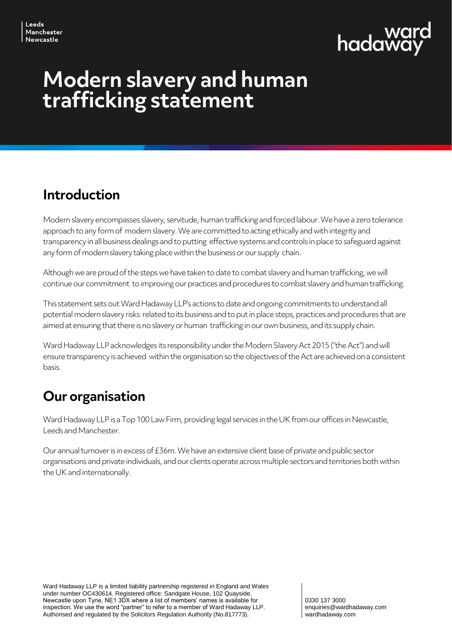

# **Modern slavery and human trafficking statement**

#### **Introduction**

Modern slavery encompasses slavery, servitude, human trafficking and forced labour. We have a zero tolerance approach to any form of modern slavery. We are committed to acting ethically and with integrity and transparency in all business dealings and to putting effective systems and controls in place to safeguard against any form of modern slavery taking place within the business or our supply chain.

Although we are proud of the steps we have taken to date to combat slavery and human trafficking, we will continue our commitment to improving our practices and procedures to combat slavery and human trafficking.

This statement sets out Ward Hadaway LLP's actions to date and ongoing commitments to understand all potential modern slavery risks related to its business and to put in place steps, practices and procedures that are aimed at ensuring that there is no slavery or human trafficking in our own business, and its supply chain.

Ward Hadaway LLPacknowledges its responsibility under the Modern Slavery Act 2015 ("the Act") and will ensure transparency is achieved within the organisation so the objectives of the Act are achieved on a consistent basis.

### **Our organisation**

Ward Hadaway LLPis a Top 100 Law Firm, providing legal services in the UK from our offices in Newcastle, Leeds and Manchester.

Our annual turnover is in excess of £36m. We have an extensive client base of private and public sector organisations and private individuals, and our clients operate across multiple sectors and territories both within the UK and internationally.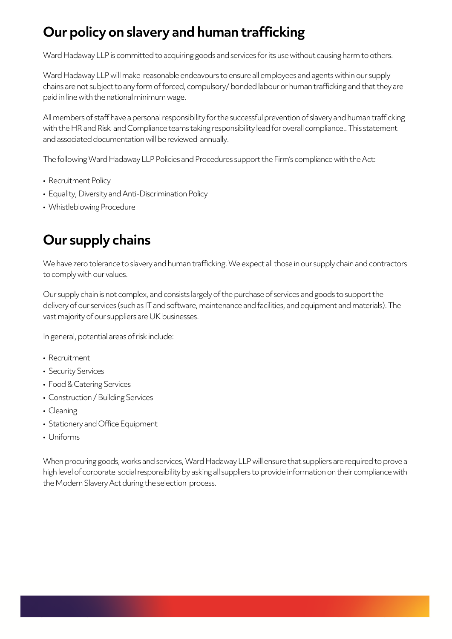## **Our policy on slavery and human trafficking**

Ward Hadaway LLP is committed to acquiring goods and services for its use without causing harm to others.

Ward Hadaway LLP will make reasonable endeavours to ensure all employees and agents within our supply chains are not subject to any form of forced, compulsory/ bonded labour or human trafficking and that they are paid in line with the national minimum wage.

All members of staff have a personal responsibility for the successful prevention of slavery and human trafficking with the HR and Risk and Compliance teams taking responsibility lead for overall compliance.. This statement and associated documentation will be reviewed annually.

The following Ward Hadaway LLP Policies and Procedures support the Firm's compliance with the Act:

- Recruitment Policy
- Equality, Diversity and Anti-Discrimination Policy
- Whistleblowing Procedure

#### **Our supply chains**

We have zero tolerance to slavery and human trafficking. We expect all those in our supply chain and contractors to comply with our values.

Our supply chain is not complex, and consists largely of the purchase of services and goods to support the delivery of our services (such as IT and software, maintenance and facilities, and equipment and materials). The vast majority of our suppliers are UK businesses.

In general, potential areas of risk include:

- Recruitment
- Security Services
- Food & Catering Services
- Construction / Building Services
- Cleaning
- Stationery and Office Equipment
- Uniforms

When procuring goods, works and services, Ward Hadaway LLP will ensure that suppliers are required to prove a high level of corporate social responsibility by asking all suppliers to provide information on their compliance with the Modern Slavery Act during the selection process.